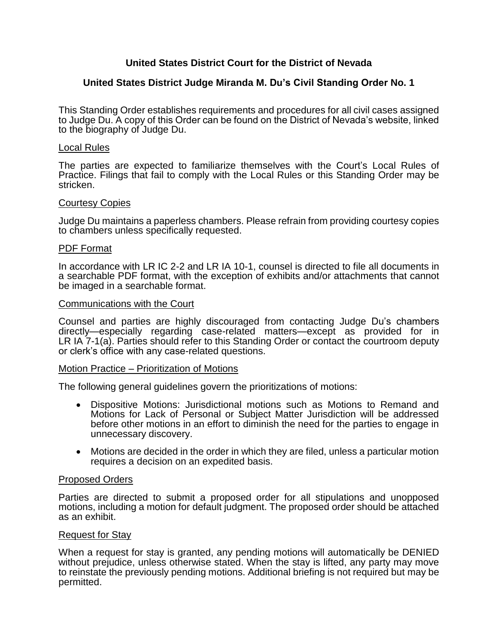# **United States District Court for the District of Nevada**

## **United States District Judge Miranda M. Du's Civil Standing Order No. 1**

This Standing Order establishes requirements and procedures for all civil cases assigned to Judge Du. A copy of this Order can be found on the District of Nevada's website, linked to the biography of Judge Du.

## Local Rules

The parties are expected to familiarize themselves with the Court's Local Rules of Practice. Filings that fail to comply with the Local Rules or this Standing Order may be stricken.

## Courtesy Copies

Judge Du maintains a paperless chambers. Please refrain from providing courtesy copies to chambers unless specifically requested.

## PDF Format

In accordance with LR IC 2-2 and LR IA 10-1, counsel is directed to file all documents in a searchable PDF format, with the exception of exhibits and/or attachments that cannot be imaged in a searchable format.

## Communications with the Court

Counsel and parties are highly discouraged from contacting Judge Du's chambers directly—especially regarding case-related matters—except as provided for in LR IA 7-1(a). Parties should refer to this Standing Order or contact the courtroom deputy or clerk's office with any case-related questions.

## Motion Practice – Prioritization of Motions

The following general guidelines govern the prioritizations of motions:

- Dispositive Motions: Jurisdictional motions such as Motions to Remand and Motions for Lack of Personal or Subject Matter Jurisdiction will be addressed before other motions in an effort to diminish the need for the parties to engage in unnecessary discovery.
- Motions are decided in the order in which they are filed, unless a particular motion requires a decision on an expedited basis.

## Proposed Orders

Parties are directed to submit a proposed order for all stipulations and unopposed motions, including a motion for default judgment. The proposed order should be attached as an exhibit.

## Request for Stay

When a request for stay is granted, any pending motions will automatically be DENIED without prejudice, unless otherwise stated. When the stay is lifted, any party may move to reinstate the previously pending motions. Additional briefing is not required but may be permitted.